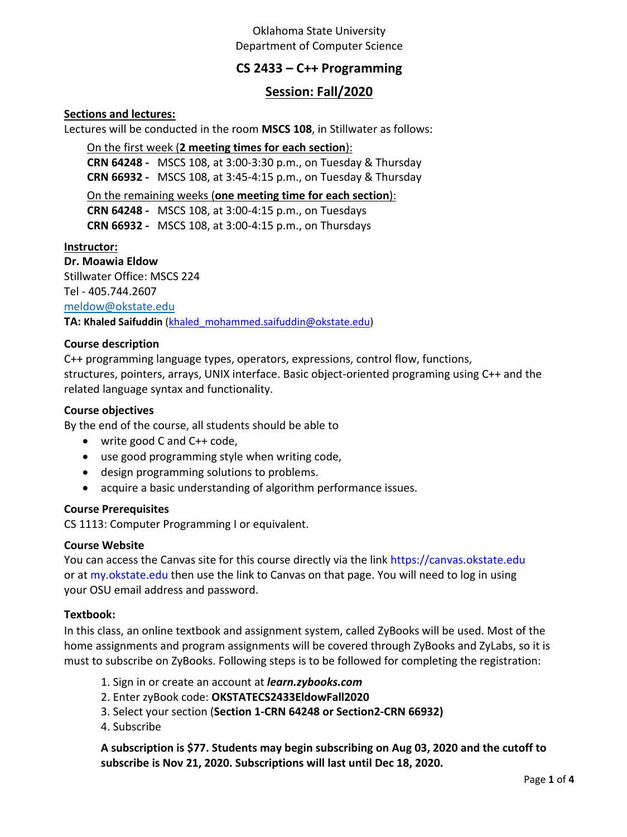# Oklahoma State University Department of Computer Science

# **CS 2433 – C++ Programming**

# **Session: Fall/2020**

### **Sections and lectures:**

Lectures will be conducted in the room **MSCS 108**, in Stillwater as follows:

On the first week (**2 meeting times for each section**):

**CRN 64248 -** MSCS 108, at 3:00-3:30 p.m., on Tuesday & Thursday **CRN 66932 -** MSCS 108, at 3:45-4:15 p.m., on Tuesday & Thursday

On the remaining weeks (**one meeting time for each section**): **CRN 64248 -** MSCS 108, at 3:00-4:15 p.m., on Tuesdays **CRN 66932 -** MSCS 108, at 3:00-4:15 p.m., on Thursdays

#### **Instructor:**

**Dr. Moawia Eldow** Stillwater Office: MSCS 224 Tel - 405.744.2607 [meldow@okstate.edu](mailto:meldow@okstate.edu) **TA: Khaled Saifuddin** [\(khaled\\_mohammed.saifuddin@okstate.edu\)](mailto:khaled_mohammed.saifuddin@okstate.edu)

### **Course description**

C++ programming language types, operators, expressions, control flow, functions, structures, pointers, arrays, UNIX interface. Basic object-oriented programing using C++ and the related language syntax and functionality.

#### **Course objectives**

By the end of the course, all students should be able to

- write good C and C++ code,
- use good programming style when writing code,
- design programming solutions to problems.
- acquire a basic understanding of algorithm performance issues.

#### **Course Prerequisites**

CS 1113: Computer Programming I or equivalent.

#### **Course Website**

You can access the Canvas site for this course directly via the link https://canvas.okstate.edu or at my.okstate.edu then use the link to Canvas on that page. You will need to log in using your OSU email address and password.

#### **Textbook:**

In this class, an online textbook and assignment system, called ZyBooks will be used. Most of the home assignments and program assignments will be covered through ZyBooks and ZyLabs, so it is must to subscribe on ZyBooks. Following steps is to be followed for completing the registration:

- 1. Sign in or create an account at *learn.zybooks.com*
- 2. Enter zyBook code: **OKSTATECS2433EldowFall2020**
- 3. Select your section (**Section 1-CRN 64248 or Section2-CRN 66932)**
- 4. Subscribe

**A subscription is \$77. Students may begin subscribing on Aug 03, 2020 and the cutoff to subscribe is Nov 21, 2020. Subscriptions will last until Dec 18, 2020.**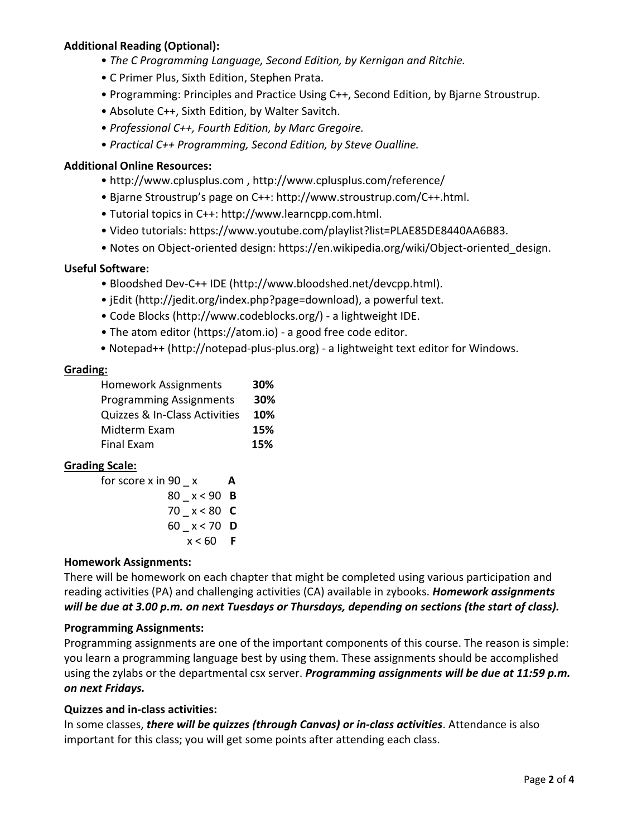# **Additional Reading (Optional):**

- *The C Programming Language, Second Edition, by Kernigan and Ritchie.*
- C Primer Plus, Sixth Edition, Stephen Prata.
- Programming: Principles and Practice Using C++, Second Edition, by Bjarne Stroustrup.
- Absolute C++, Sixth Edition, by Walter Savitch.
- *Professional C++, Fourth Edition, by Marc Gregoire.*
- *Practical C++ Programming, Second Edition, by Steve Oualline.*

### **Additional Online Resources:**

- http://www.cplusplus.com , http://www.cplusplus.com/reference/
- Bjarne Stroustrup's page on C++: http://www.stroustrup.com/C++.html.
- Tutorial topics in C++: http://www.learncpp.com.html.
- Video tutorials: https://www.youtube.com/playlist?list=PLAE85DE8440AA6B83.
- Notes on Object-oriented design: https://en.wikipedia.org/wiki/Object-oriented\_design.

### **Useful Software:**

- Bloodshed Dev-C++ IDE (http://www.bloodshed.net/devcpp.html).
- jEdit (http://jedit.org/index.php?page=download), a powerful text.
- Code Blocks (http://www.codeblocks.org/) a lightweight IDE.
- The atom editor (https://atom.io) a good free code editor.
- Notepad++ (http://notepad-plus-plus.org) a lightweight text editor for Windows.

#### **Grading:**

| <b>Homework Assignments</b>    | 30% |
|--------------------------------|-----|
| <b>Programming Assignments</b> | 30% |
| Quizzes & In-Class Activities  | 10% |
| Midterm Exam                   | 15% |
| <b>Final Exam</b>              | 15% |

### **Grading Scale:**

| А             |
|---------------|
| 80 $x < 90$ B |
| 70 $x < 80$ C |
| 60 x < 70 D   |
| $x < 60$ F    |
|               |

### **Homework Assignments:**

There will be homework on each chapter that might be completed using various participation and reading activities (PA) and challenging activities (CA) available in zybooks. *Homework assignments will be due at 3.00 p.m. on next Tuesdays or Thursdays, depending on sections (the start of class).*

### **Programming Assignments:**

Programming assignments are one of the important components of this course. The reason is simple: you learn a programming language best by using them. These assignments should be accomplished using the zylabs or the departmental csx server. *Programming assignments will be due at 11:59 p.m. on next Fridays.*

### **Quizzes and in-class activities:**

In some classes, *there will be quizzes (through Canvas) or in-class activities*. Attendance is also important for this class; you will get some points after attending each class.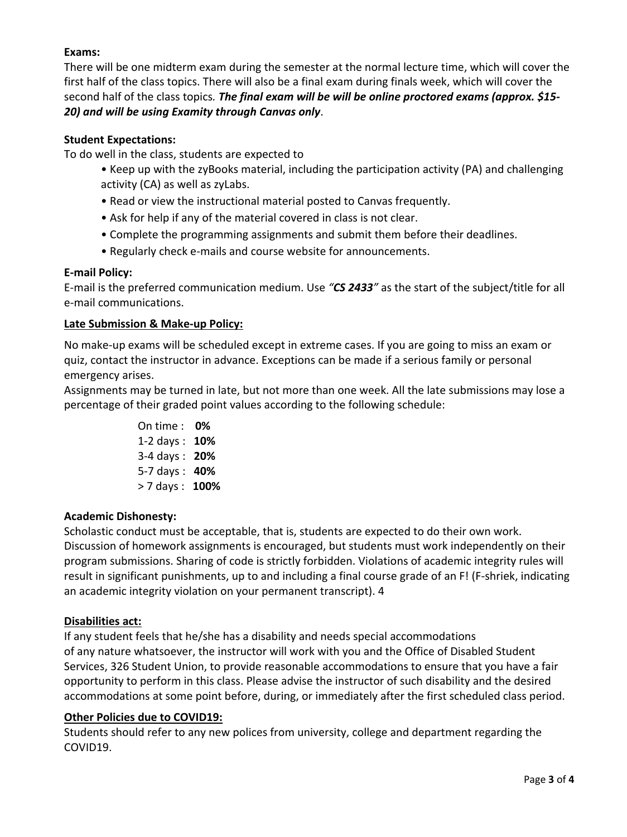# **Exams:**

There will be one midterm exam during the semester at the normal lecture time, which will cover the first half of the class topics. There will also be a final exam during finals week, which will cover the second half of the class topics*. The final exam will be will be online proctored exams (approx. \$15- 20) and will be using Examity through Canvas only*.

## **Student Expectations:**

To do well in the class, students are expected to

- Keep up with the zyBooks material, including the participation activity (PA) and challenging activity (CA) as well as zyLabs.
- Read or view the instructional material posted to Canvas frequently.
- Ask for help if any of the material covered in class is not clear.
- Complete the programming assignments and submit them before their deadlines.
- Regularly check e-mails and course website for announcements.

### **E-mail Policy:**

E-mail is the preferred communication medium. Use *"CS 2433"* as the start of the subject/title for all e-mail communications.

### **Late Submission & Make-up Policy:**

No make-up exams will be scheduled except in extreme cases. If you are going to miss an exam or quiz, contact the instructor in advance. Exceptions can be made if a serious family or personal emergency arises.

Assignments may be turned in late, but not more than one week. All the late submissions may lose a percentage of their graded point values according to the following schedule:

> On time : **0%** 1-2 days : **10%** 3-4 days : **20%** 5-7 days : **40%** > 7 days : **100%**

### **Academic Dishonesty:**

Scholastic conduct must be acceptable, that is, students are expected to do their own work. Discussion of homework assignments is encouraged, but students must work independently on their program submissions. Sharing of code is strictly forbidden. Violations of academic integrity rules will result in significant punishments, up to and including a final course grade of an F! (F-shriek, indicating an academic integrity violation on your permanent transcript). 4

### **Disabilities act:**

If any student feels that he/she has a disability and needs special accommodations of any nature whatsoever, the instructor will work with you and the Office of Disabled Student Services, 326 Student Union, to provide reasonable accommodations to ensure that you have a fair opportunity to perform in this class. Please advise the instructor of such disability and the desired accommodations at some point before, during, or immediately after the first scheduled class period.

### **Other Policies due to COVID19:**

Students should refer to any new polices from university, college and department regarding the COVID19.